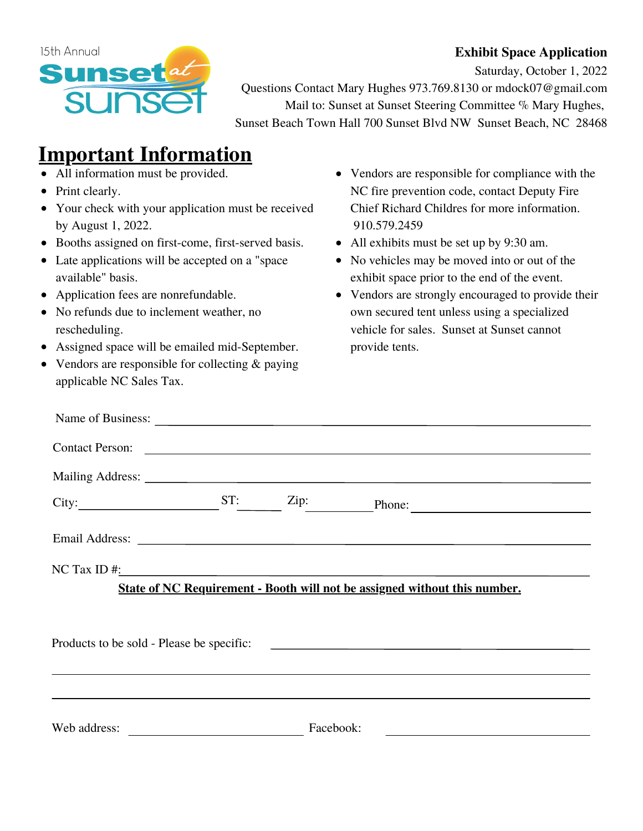## **Exhibit Space Application**



Saturday, October 1, 2022 Questions Contact Mary Hughes 973.769.8130 or mdock07@gmail.com Mail to: Sunset at Sunset Steering Committee % Mary Hughes, Sunset Beach Town Hall 700 Sunset Blvd NW Sunset Beach, NC 28468

## **Important Information**

- All information must be provided.
- Print clearly.
- Your check with your application must be received by August 1, 2022.
- Booths assigned on first-come, first-served basis.
- Late applications will be accepted on a "space available" basis.
- Application fees are nonrefundable.
- No refunds due to inclement weather, no rescheduling.
- Assigned space will be emailed mid-September.
- Vendors are responsible for collecting & paying applicable NC Sales Tax.
- Vendors are responsible for compliance with the NC fire prevention code, contact Deputy Fire Chief Richard Childres for more information. 910.579.2459
- All exhibits must be set up by 9:30 am.
- No vehicles may be moved into or out of the exhibit space prior to the end of the event.
- Vendors are strongly encouraged to provide their own secured tent unless using a specialized vehicle for sales. Sunset at Sunset cannot provide tents.

|                                                                                                                                                                                                                                      |                      | Contact Person:                                                           |  |
|--------------------------------------------------------------------------------------------------------------------------------------------------------------------------------------------------------------------------------------|----------------------|---------------------------------------------------------------------------|--|
|                                                                                                                                                                                                                                      |                      |                                                                           |  |
| $City:$ $ST:$                                                                                                                                                                                                                        | Zip: $\qquad \qquad$ | Phone:                                                                    |  |
| Email Address: <u>and a series of the series of the series of the series of the series of the series of the series of the series of the series of the series of the series of the series of the series of the series of the seri</u> |                      |                                                                           |  |
| NC Tax ID $\#$ : $\qquad \qquad$                                                                                                                                                                                                     |                      |                                                                           |  |
|                                                                                                                                                                                                                                      |                      |                                                                           |  |
|                                                                                                                                                                                                                                      |                      | State of NC Requirement - Booth will not be assigned without this number. |  |
|                                                                                                                                                                                                                                      |                      |                                                                           |  |
|                                                                                                                                                                                                                                      |                      |                                                                           |  |
|                                                                                                                                                                                                                                      |                      |                                                                           |  |